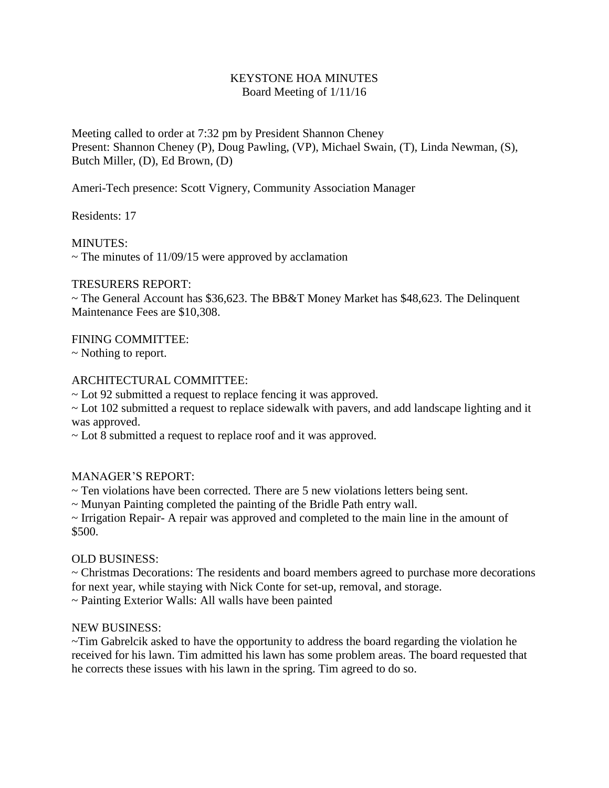## KEYSTONE HOA MINUTES Board Meeting of 1/11/16

Meeting called to order at 7:32 pm by President Shannon Cheney Present: Shannon Cheney (P), Doug Pawling, (VP), Michael Swain, (T), Linda Newman, (S), Butch Miller, (D), Ed Brown, (D)

Ameri-Tech presence: Scott Vignery, Community Association Manager

Residents: 17

MINUTES:

 $\sim$  The minutes of 11/09/15 were approved by acclamation

### TRESURERS REPORT:

 $\sim$  The General Account has \$36,623. The BB&T Money Market has \$48,623. The Delinquent Maintenance Fees are \$10,308.

# FINING COMMITTEE:

~ Nothing to report.

### ARCHITECTURAL COMMITTEE:

~ Lot 92 submitted a request to replace fencing it was approved.

~ Lot 102 submitted a request to replace sidewalk with pavers, and add landscape lighting and it was approved.

~ Lot 8 submitted a request to replace roof and it was approved.

# MANAGER'S REPORT:

 $\sim$  Ten violations have been corrected. There are 5 new violations letters being sent.

~ Munyan Painting completed the painting of the Bridle Path entry wall.

~ Irrigation Repair- A repair was approved and completed to the main line in the amount of \$500.

#### OLD BUSINESS:

~ Christmas Decorations: The residents and board members agreed to purchase more decorations for next year, while staying with Nick Conte for set-up, removal, and storage.

~ Painting Exterior Walls: All walls have been painted

#### NEW BUSINESS:

~Tim Gabrelcik asked to have the opportunity to address the board regarding the violation he received for his lawn. Tim admitted his lawn has some problem areas. The board requested that he corrects these issues with his lawn in the spring. Tim agreed to do so.